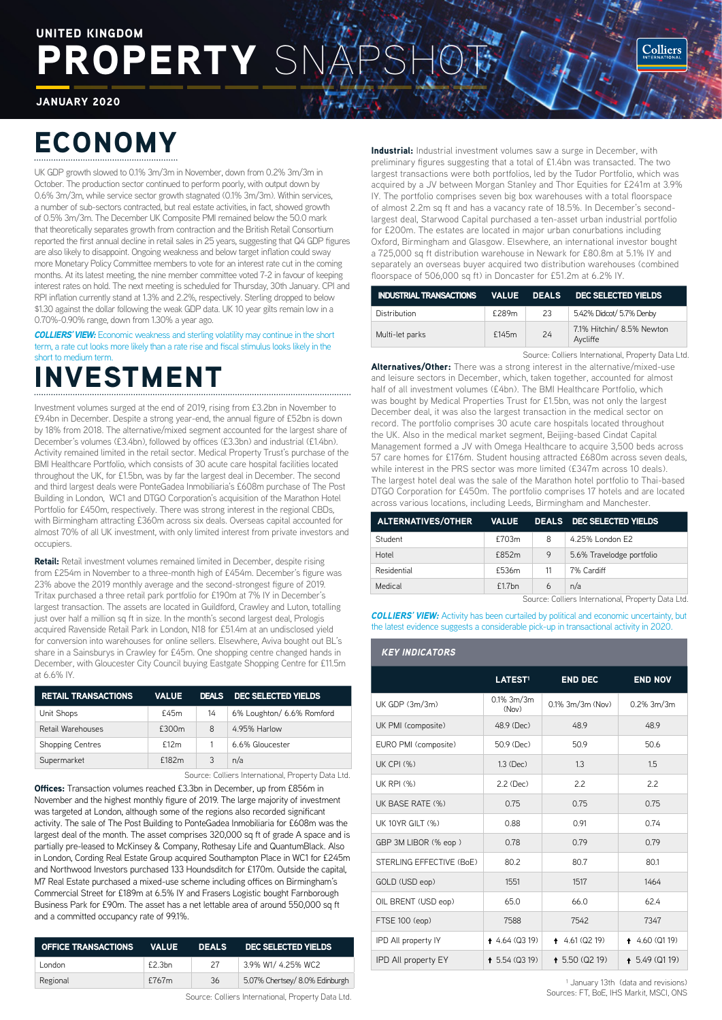# ROPERTY SN UNITED KINGDOM

JANUARY 2020

# ECONOMY

UK GDP growth slowed to 0.1% 3m/3m in November, down from 0.2% 3m/3m in October. The production sector continued to perform poorly, with output down by 0.6% 3m/3m, while service sector growth stagnated (0.1% 3m/3m). Within services, a number of sub-sectors contracted, but real estate activities, in fact, showed growth of 0.5% 3m/3m. The December UK Composite PMI remained below the 50.0 mark that theoretically separates growth from contraction and the British Retail Consortium reported the first annual decline in retail sales in 25 years, suggesting that Q4 GDP figures are also likely to disappoint. Ongoing weakness and below target inflation could sway more Monetary Policy Committee members to vote for an interest rate cut in the coming months. At its latest meeting, the nine member committee voted 7-2 in favour of keeping interest rates on hold. The next meeting is scheduled for Thursday, 30th January. CPI and RPI inflation currently stand at 1.3% and 2.2%, respectively. Sterling dropped to below \$1.30 against the dollar following the weak GDP data. UK 10 year gilts remain low in a 0.70%-0.90% range, down from 1.30% a year ago.

**COLLIERS' VIEW:** Economic weakness and sterling volatility may continue in the short term, a rate cut looks more likely than a rate rise and fiscal stimulus looks likely in the short to medium term.

# **NVESTMENT**

Investment volumes surged at the end of 2019, rising from £3.2bn in November to £9.4bn in December. Despite a strong year-end, the annual figure of £52bn is down by 18% from 2018. The alternative/mixed segment accounted for the largest share of December's volumes (£3.4bn), followed by offices (£3.3bn) and industrial (£1.4bn). Activity remained limited in the retail sector. Medical Property Trust's purchase of the BMI Healthcare Portfolio, which consists of 30 acute care hospital facilities located throughout the UK, for £1.5bn, was by far the largest deal in December. The second and third largest deals were PonteGadea Inmobiliaria's £608m purchase of The Post Building in London, WC1 and DTGO Corporation's acquisition of the Marathon Hotel Portfolio for £450m, respectively. There was strong interest in the regional CBDs, with Birmingham attracting £360m across six deals. Overseas capital accounted for almost 70% of all UK investment, with only limited interest from private investors and occupiers.

Retail: Retail investment volumes remained limited in December, despite rising from £254m in November to a three-month high of £454m. December's figure was 23% above the 2019 monthly average and the second-strongest figure of 2019. Tritax purchased a three retail park portfolio for £190m at 7% IY in December's largest transaction. The assets are located in Guildford, Crawley and Luton, totalling just over half a million sq ft in size. In the month's second largest deal, Prologis acquired Ravenside Retail Park in London, N18 for £51.4m at an undisclosed yield for conversion into warehouses for online sellers. Elsewhere, Aviva bought out BL's share in a Sainsburys in Crawley for £45m. One shopping centre changed hands in December, with Gloucester City Council buying Eastgate Shopping Centre for £11.5m at 6.6% IY.

| <b>RETAIL TRANSACTIONS</b> | <b>VALUE</b> | <b>DEALS</b> | DEC SELECTED YIELDS       |
|----------------------------|--------------|--------------|---------------------------|
| Unit Shops                 | £45m         | 14           | 6% Loughton/ 6.6% Romford |
| Retail Warehouses          | £300m        | 8            | 4.95% Harlow              |
| <b>Shopping Centres</b>    | f12m         |              | 6.6% Gloucester           |
| Supermarket                | f182m        | 3            | n/a                       |

Source: Colliers International, Property Data Ltd.

Offices: Transaction volumes reached £3.3bn in December, up from £856m in November and the highest monthly figure of 2019. The large majority of investment was targeted at London, although some of the regions also recorded significant activity. The sale of The Post Building to PonteGadea Inmobiliaria for £608m was the largest deal of the month. The asset comprises 320,000 sq ft of grade A space and is partially pre-leased to McKinsey & Company, Rothesay Life and QuantumBlack. Also in London, Cording Real Estate Group acquired Southampton Place in WC1 for £245m and Northwood Investors purchased 133 Houndsditch for £170m. Outside the capital, M7 Real Estate purchased a mixed-use scheme including offices on Birmingham's Commercial Street for £189m at 6.5% IY and Frasers Logistic bought Farnborough Business Park for £90m. The asset has a net lettable area of around 550,000 sq ft and a committed occupancy rate of 99.1%.

| <b>OFFICE TRANSACTIONS</b> | <b>VALUE</b> | <b>DEALS</b> | <b>DEC SELECTED YIELDS</b>     |
|----------------------------|--------------|--------------|--------------------------------|
| London                     | f2.3bn       | 27           | 3.9% W1/ 4.25% WC2             |
| Regional                   | £767m        | 36           | 5.07% Chertsey/ 8.0% Edinburgh |
|                            |              |              |                                |

Source: Colliers International, Property Data Ltd.

**Industrial:** Industrial investment volumes saw a surge in December, with preliminary figures suggesting that a total of £1.4bn was transacted. The two largest transactions were both portfolios, led by the Tudor Portfolio, which was acquired by a JV between Morgan Stanley and Thor Equities for £241m at 3.9% IY. The portfolio comprises seven big box warehouses with a total floorspace of almost 2.2m sq ft and has a vacancy rate of 18.5%. In December's secondlargest deal, Starwood Capital purchased a ten-asset urban industrial portfolio for £200m. The estates are located in major urban conurbations including Oxford, Birmingham and Glasgow. Elsewhere, an international investor bought a 725,000 sq ft distribution warehouse in Newark for £80.8m at 5.1% IY and separately an overseas buyer acquired two distribution warehouses (combined floorspace of 506,000 sq ft) in Doncaster for £51.2m at 6.2% IY.

| INDUSTRIAL TRANSACTIONS VALUE DEALS DEC SELECTED YIELDS |       |    |                                       |
|---------------------------------------------------------|-------|----|---------------------------------------|
| Distribution                                            | £289m | 23 | 5.42% Didcot/ 5.7% Denby              |
| Multi-let parks                                         | £145m | 24 | 7.1% Hitchin/ 8.5% Newton<br>Aycliffe |

Source: Colliers International, Property Data Ltd.

Alternatives/Other: There was a strong interest in the alternative/mixed-use and leisure sectors in December, which, taken together, accounted for almost half of all investment volumes (£4bn). The BMI Healthcare Portfolio, which was bought by Medical Properties Trust for £1.5bn, was not only the largest December deal, it was also the largest transaction in the medical sector on record. The portfolio comprises 30 acute care hospitals located throughout the UK. Also in the medical market segment, Beijing-based Cindat Capital Management formed a JV with Omega Healthcare to acquire 3,500 beds across 57 care homes for £176m. Student housing attracted £680m across seven deals, while interest in the PRS sector was more limited (£347m across 10 deals). The largest hotel deal was the sale of the Marathon hotel portfolio to Thai-based DTGO Corporation for £450m. The portfolio comprises 17 hotels and are located across various locations, including Leeds, Birmingham and Manchester.

| ALTERNATIVES/OTHER VALUE DEALS DEC SELECTED YIELDS |           |    |                           |
|----------------------------------------------------|-----------|----|---------------------------|
| Student                                            | £703m     | 8  | 4.25% London E2           |
| Hotel                                              | £852m     | 9  | 5.6% Travelodge portfolio |
| Residential                                        | £536m     | 11 | 7% Cardiff                |
| Medical                                            | $f1.7$ bn | 6  | n/a                       |

Source: Colliers International, Property Data Ltd.

**COLLIERS' VIEW:** Activity has been curtailed by political and economic uncertainty, but the latest evidence suggests a considerable pick-up in transactional activity in 2020.

#### *KEY INDICATORS*

|                            | LATEST <sup>1</sup>     | <b>END DEC</b>      | <b>END NOV</b>  |
|----------------------------|-------------------------|---------------------|-----------------|
| UK GDP (3m/3m)             | $0.1\%$ 3m/3m<br>(Now)  | $0.1\%$ 3m/3m (Nov) | $0.2\%$ 3m/3m   |
| UK PMI (composite)         | 48.9 (Dec)              | 48.9                | 48.9            |
| EURO PMI (composite)       | 50.9 (Dec)              | 50.9                | 50.6            |
| $UK$ CPI $(% )$            | 1.3 (Dec)               | 1.3                 | 1.5             |
| <b>UK RPI (%)</b>          | 2.2 (Dec)               | 2.2                 | 2.2             |
| UK BASE RATE (%)           | 0.75                    | 0.75                | 0.75            |
| UK 10YR GILT (%)           | 0.88                    | 0.91                | 0.74            |
| GBP 3M LIBOR (% eop)       | 0.78                    | 0.79                | 0.79            |
| STERLING EFFECTIVE (BoE)   | 80.2                    | 80.7                | 80.1            |
| GOLD (USD eop)             | 1551                    | 1517                | 1464            |
| OIL BRENT (USD eop)        | 65.0                    | 66.0                | 62.4            |
| FTSE 100 (eop)             | 7588                    | 7542                | 7347            |
| IPD All property IY        | 4.64(0319)              | $4.61($ Q2 19)<br>٠ | 4.60(0119)      |
| <b>IPD All property EY</b> | $\uparrow$ 5.54 (Q3 19) | $+ 5.50 (Q219)$     | $+5.49$ (Q1 19) |

<sup>1</sup> January 13th (data and revisions) Sources: FT, BoE, IHS Markit, MSCI, ONS